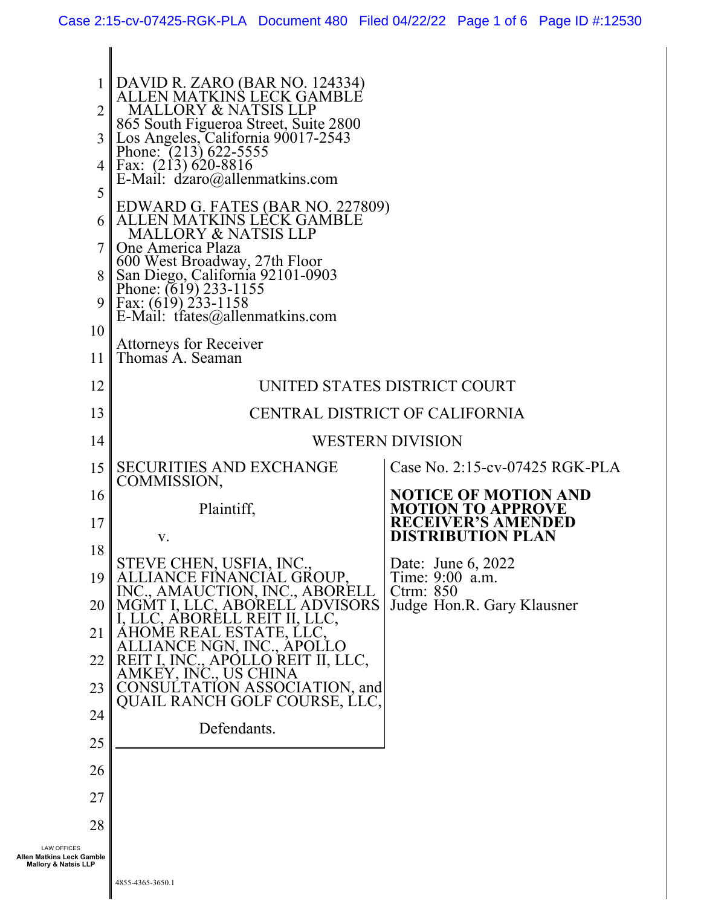| $\overline{2}$<br>4 I<br>5<br>6<br>9<br>10                                         | DAVID R. ZARO (BAR NO. 124334)<br>ALLEN MATKINS LECK GAMBLE<br><b>MALLORY &amp; NATSIS LLP</b><br>865 South Figueroa Street, Suite 2800<br>Los Angeles, California 90017-2543<br>Phone: (213) 622-5555<br>Fax: $(213) 620-8816$<br>E-Mail: dzaro@allenmatkins.com<br>EDWARD G. FATES (BAR NO. 227809)<br>ALLEN MATKINS LECK GAMBLE<br>MALLORY & NATSIS LLP<br>One America Plaza<br>600 West Broadway, 27th Floor<br>San Diego, California 92101-0903<br>Phone: (619) 233-1155<br>Fax: $(619)$ 233-1158<br>E-Mail: tfates@allenmatkins.com |                                                                                   |  |
|------------------------------------------------------------------------------------|-------------------------------------------------------------------------------------------------------------------------------------------------------------------------------------------------------------------------------------------------------------------------------------------------------------------------------------------------------------------------------------------------------------------------------------------------------------------------------------------------------------------------------------------|-----------------------------------------------------------------------------------|--|
|                                                                                    | <b>Attorneys for Receiver</b>                                                                                                                                                                                                                                                                                                                                                                                                                                                                                                             |                                                                                   |  |
| 11                                                                                 | Thomas A. Seaman                                                                                                                                                                                                                                                                                                                                                                                                                                                                                                                          |                                                                                   |  |
| 12                                                                                 | UNITED STATES DISTRICT COURT                                                                                                                                                                                                                                                                                                                                                                                                                                                                                                              |                                                                                   |  |
| 13                                                                                 | CENTRAL DISTRICT OF CALIFORNIA                                                                                                                                                                                                                                                                                                                                                                                                                                                                                                            |                                                                                   |  |
| 14                                                                                 | <b>WESTERN DIVISION</b>                                                                                                                                                                                                                                                                                                                                                                                                                                                                                                                   |                                                                                   |  |
| 15                                                                                 | <b>SECURITIES AND EXCHANGE</b>                                                                                                                                                                                                                                                                                                                                                                                                                                                                                                            | Case No. 2:15-cv-07425 RGK-PLA                                                    |  |
| 16                                                                                 | COMMISSION,                                                                                                                                                                                                                                                                                                                                                                                                                                                                                                                               | <b>NOTICE OF MOTION AND</b>                                                       |  |
| 17                                                                                 | Plaintiff,<br>V.                                                                                                                                                                                                                                                                                                                                                                                                                                                                                                                          | <b>MOTION TO APPROVE</b><br><b>RECEIVER'S AMENDED</b><br><b>DISTRIBUTION PLAN</b> |  |
| 18                                                                                 | STEVE CHEN, USFIA, INC                                                                                                                                                                                                                                                                                                                                                                                                                                                                                                                    | $\mathbf{\mathbf{r}}$<br>Date: June 6, 2022                                       |  |
| 19<br>20                                                                           | <b>GROUP</b><br>C., ABORELL<br><b>VISORS</b>                                                                                                                                                                                                                                                                                                                                                                                                                                                                                              | Time: 9:00 a.m.<br>$C$ trm: $850$<br>Judge Hon.R. Gary Klausner                   |  |
| 21                                                                                 |                                                                                                                                                                                                                                                                                                                                                                                                                                                                                                                                           |                                                                                   |  |
| 22                                                                                 | II, LLC,<br>EI L                                                                                                                                                                                                                                                                                                                                                                                                                                                                                                                          |                                                                                   |  |
| 23                                                                                 | CIATION, and<br>DLF COURSE, LLC,<br>QUAIL RAN                                                                                                                                                                                                                                                                                                                                                                                                                                                                                             |                                                                                   |  |
| 24                                                                                 | Defendants.                                                                                                                                                                                                                                                                                                                                                                                                                                                                                                                               |                                                                                   |  |
| 25                                                                                 |                                                                                                                                                                                                                                                                                                                                                                                                                                                                                                                                           |                                                                                   |  |
| 26                                                                                 |                                                                                                                                                                                                                                                                                                                                                                                                                                                                                                                                           |                                                                                   |  |
| 27                                                                                 |                                                                                                                                                                                                                                                                                                                                                                                                                                                                                                                                           |                                                                                   |  |
| 28                                                                                 |                                                                                                                                                                                                                                                                                                                                                                                                                                                                                                                                           |                                                                                   |  |
| <b>LAW OFFICES</b><br>Allen Matkins Leck Gamble<br><b>Mallory &amp; Natsis LLP</b> |                                                                                                                                                                                                                                                                                                                                                                                                                                                                                                                                           |                                                                                   |  |

 $\mathbf l$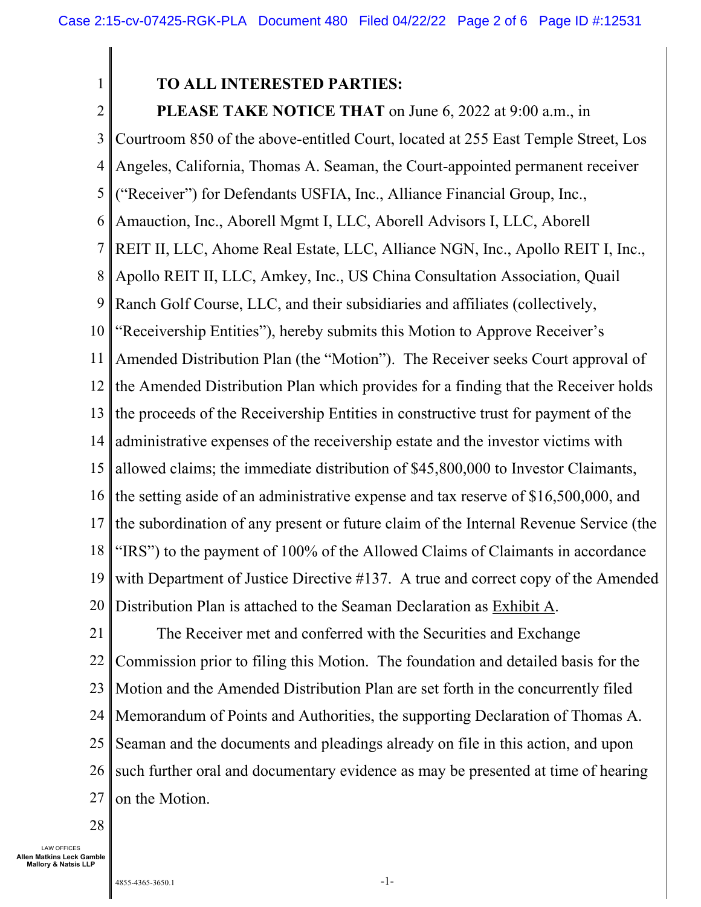1

## **TO ALL INTERESTED PARTIES:**

2 3 4 5 6 7 8 9 10 11 12 13 14 15 16 17 18 19 20 **PLEASE TAKE NOTICE THAT** on June 6, 2022 at 9:00 a.m., in Courtroom 850 of the above-entitled Court, located at 255 East Temple Street, Los Angeles, California, Thomas A. Seaman, the Court-appointed permanent receiver ("Receiver") for Defendants USFIA, Inc., Alliance Financial Group, Inc., Amauction, Inc., Aborell Mgmt I, LLC, Aborell Advisors I, LLC, Aborell REIT II, LLC, Ahome Real Estate, LLC, Alliance NGN, Inc., Apollo REIT I, Inc., Apollo REIT II, LLC, Amkey, Inc., US China Consultation Association, Quail Ranch Golf Course, LLC, and their subsidiaries and affiliates (collectively, "Receivership Entities"), hereby submits this Motion to Approve Receiver's Amended Distribution Plan (the "Motion"). The Receiver seeks Court approval of the Amended Distribution Plan which provides for a finding that the Receiver holds the proceeds of the Receivership Entities in constructive trust for payment of the administrative expenses of the receivership estate and the investor victims with allowed claims; the immediate distribution of \$45,800,000 to Investor Claimants, the setting aside of an administrative expense and tax reserve of \$16,500,000, and the subordination of any present or future claim of the Internal Revenue Service (the "IRS") to the payment of 100% of the Allowed Claims of Claimants in accordance with Department of Justice Directive #137. A true and correct copy of the Amended Distribution Plan is attached to the Seaman Declaration as Exhibit A.

21 22 23 24 25 26 27 The Receiver met and conferred with the Securities and Exchange Commission prior to filing this Motion. The foundation and detailed basis for the Motion and the Amended Distribution Plan are set forth in the concurrently filed Memorandum of Points and Authorities, the supporting Declaration of Thomas A. Seaman and the documents and pleadings already on file in this action, and upon such further oral and documentary evidence as may be presented at time of hearing on the Motion.

28

LAW OFFICES **Allen Matkins Leck Gamble Mallory & Natsis LLP**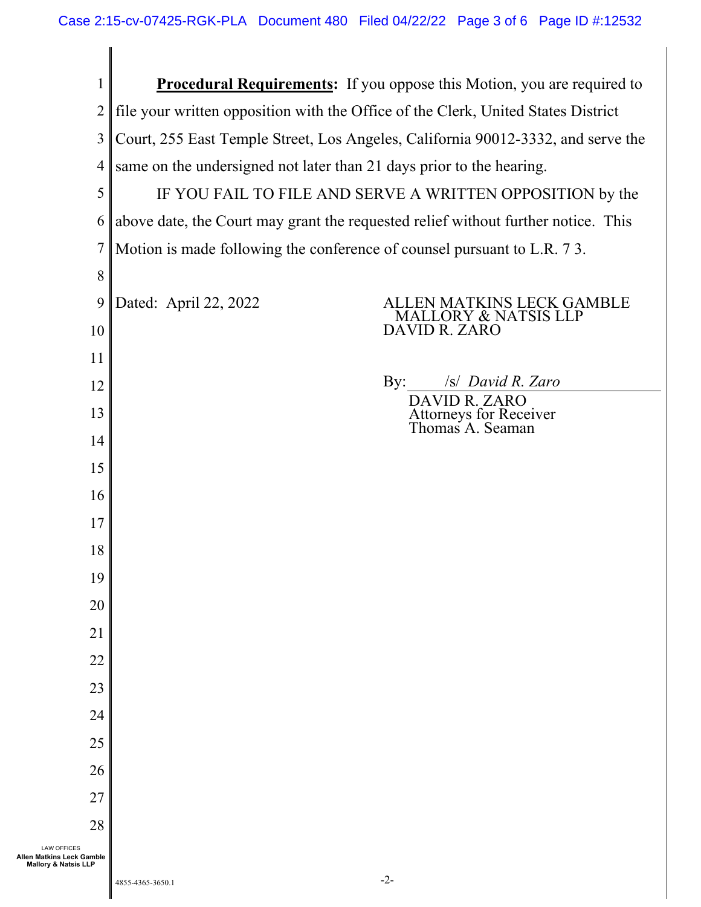| $\mathbf{1}$                                                                       | <b>Procedural Requirements:</b> If you oppose this Motion, you are required to    |                |                                                             |
|------------------------------------------------------------------------------------|-----------------------------------------------------------------------------------|----------------|-------------------------------------------------------------|
| $\overline{2}$                                                                     | file your written opposition with the Office of the Clerk, United States District |                |                                                             |
| 3                                                                                  | Court, 255 East Temple Street, Los Angeles, California 90012-3332, and serve the  |                |                                                             |
| 4                                                                                  | same on the undersigned not later than 21 days prior to the hearing.              |                |                                                             |
| 5                                                                                  | IF YOU FAIL TO FILE AND SERVE A WRITTEN OPPOSITION by the                         |                |                                                             |
| 6                                                                                  | above date, the Court may grant the requested relief without further notice. This |                |                                                             |
| 7                                                                                  | Motion is made following the conference of counsel pursuant to L.R. 73.           |                |                                                             |
| 8                                                                                  |                                                                                   |                |                                                             |
| 9                                                                                  | Dated: April 22, 2022                                                             |                | LLEN MATKINS LECK GAMBLE<br><b>MALLORY &amp; NATSIS LLP</b> |
| 10                                                                                 |                                                                                   | DAVID R. ZARO  |                                                             |
| 11                                                                                 |                                                                                   |                |                                                             |
| 12                                                                                 |                                                                                   | $\mathbf{By:}$ | /s/ David R. Zaro<br>DAVID R. ZARO                          |
| 13                                                                                 |                                                                                   |                | Attorneys for Receiver<br>Thomas A. Seaman                  |
| 14                                                                                 |                                                                                   |                |                                                             |
| 15                                                                                 |                                                                                   |                |                                                             |
| 16                                                                                 |                                                                                   |                |                                                             |
| 17                                                                                 |                                                                                   |                |                                                             |
| 18                                                                                 |                                                                                   |                |                                                             |
| 19                                                                                 |                                                                                   |                |                                                             |
| 20                                                                                 |                                                                                   |                |                                                             |
| 21                                                                                 |                                                                                   |                |                                                             |
| 22                                                                                 |                                                                                   |                |                                                             |
| 23                                                                                 |                                                                                   |                |                                                             |
| 24                                                                                 |                                                                                   |                |                                                             |
| 25                                                                                 |                                                                                   |                |                                                             |
| 26                                                                                 |                                                                                   |                |                                                             |
| 27                                                                                 |                                                                                   |                |                                                             |
| 28                                                                                 |                                                                                   |                |                                                             |
| <b>LAW OFFICES</b><br>Allen Matkins Leck Gamble<br><b>Mallory &amp; Natsis LLP</b> |                                                                                   |                |                                                             |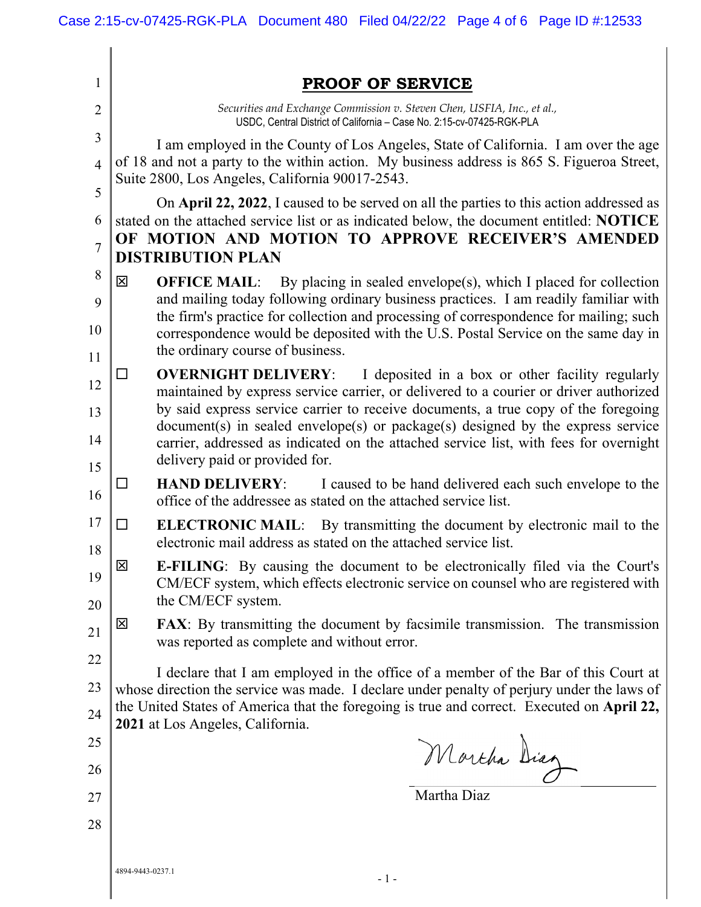| 1              | <b>PROOF OF SERVICE</b>                                                                                                                                                                                                                                           |  |  |
|----------------|-------------------------------------------------------------------------------------------------------------------------------------------------------------------------------------------------------------------------------------------------------------------|--|--|
| 2              | Securities and Exchange Commission v. Steven Chen, USFIA, Inc., et al.,<br>USDC, Central District of California - Case No. 2:15-cv-07425-RGK-PLA                                                                                                                  |  |  |
| 3              | I am employed in the County of Los Angeles, State of California. I am over the age                                                                                                                                                                                |  |  |
| $\overline{4}$ | of 18 and not a party to the within action. My business address is 865 S. Figueroa Street,<br>Suite 2800, Los Angeles, California 90017-2543.                                                                                                                     |  |  |
| 5<br>6         | On April 22, 2022, I caused to be served on all the parties to this action addressed as<br>stated on the attached service list or as indicated below, the document entitled: NOTICE                                                                               |  |  |
| 7              | OF MOTION AND MOTION TO APPROVE RECEIVER'S AMENDED                                                                                                                                                                                                                |  |  |
|                | <b>DISTRIBUTION PLAN</b>                                                                                                                                                                                                                                          |  |  |
| 8              | 図<br><b>OFFICE MAIL:</b> By placing in sealed envelope(s), which I placed for collection                                                                                                                                                                          |  |  |
| 9<br>10        | and mailing today following ordinary business practices. I am readily familiar with<br>the firm's practice for collection and processing of correspondence for mailing; such<br>correspondence would be deposited with the U.S. Postal Service on the same day in |  |  |
| 11             | the ordinary course of business.                                                                                                                                                                                                                                  |  |  |
| 12             | <b>OVERNIGHT DELIVERY:</b><br>I deposited in a box or other facility regularly<br>$\Box$<br>maintained by express service carrier, or delivered to a courier or driver authorized                                                                                 |  |  |
| 13             | by said express service carrier to receive documents, a true copy of the foregoing                                                                                                                                                                                |  |  |
| 14             | document(s) in sealed envelope(s) or package(s) designed by the express service<br>carrier, addressed as indicated on the attached service list, with fees for overnight                                                                                          |  |  |
| 15             | delivery paid or provided for.                                                                                                                                                                                                                                    |  |  |
| 16             | <b>HAND DELIVERY:</b><br>I caused to be hand delivered each such envelope to the<br>□<br>office of the addressee as stated on the attached service list.                                                                                                          |  |  |
| 17<br>18       | <b>ELECTRONIC MAIL:</b> By transmitting the document by electronic mail to the<br>□<br>electronic mail address as stated on the attached service list.                                                                                                            |  |  |
| 19             | X<br><b>E-FILING:</b> By causing the document to be electronically filed via the Court's<br>CM/ECF system, which effects electronic service on counsel who are registered with<br>the CM/ECF system.                                                              |  |  |
| 20             | 図<br><b>FAX:</b> By transmitting the document by facsimile transmission. The transmission                                                                                                                                                                         |  |  |
| 21             | was reported as complete and without error.                                                                                                                                                                                                                       |  |  |
| 22             | I declare that I am employed in the office of a member of the Bar of this Court at                                                                                                                                                                                |  |  |
| 23             | whose direction the service was made. I declare under penalty of perjury under the laws of                                                                                                                                                                        |  |  |
| 24             | the United States of America that the foregoing is true and correct. Executed on April 22,<br>2021 at Los Angeles, California.                                                                                                                                    |  |  |
| 25             |                                                                                                                                                                                                                                                                   |  |  |
| 26             | Mortha Diag                                                                                                                                                                                                                                                       |  |  |
| 27             | Martha Diaz                                                                                                                                                                                                                                                       |  |  |
| 28             |                                                                                                                                                                                                                                                                   |  |  |
|                |                                                                                                                                                                                                                                                                   |  |  |
|                | 4894-9443-0237.1<br>$-1-$                                                                                                                                                                                                                                         |  |  |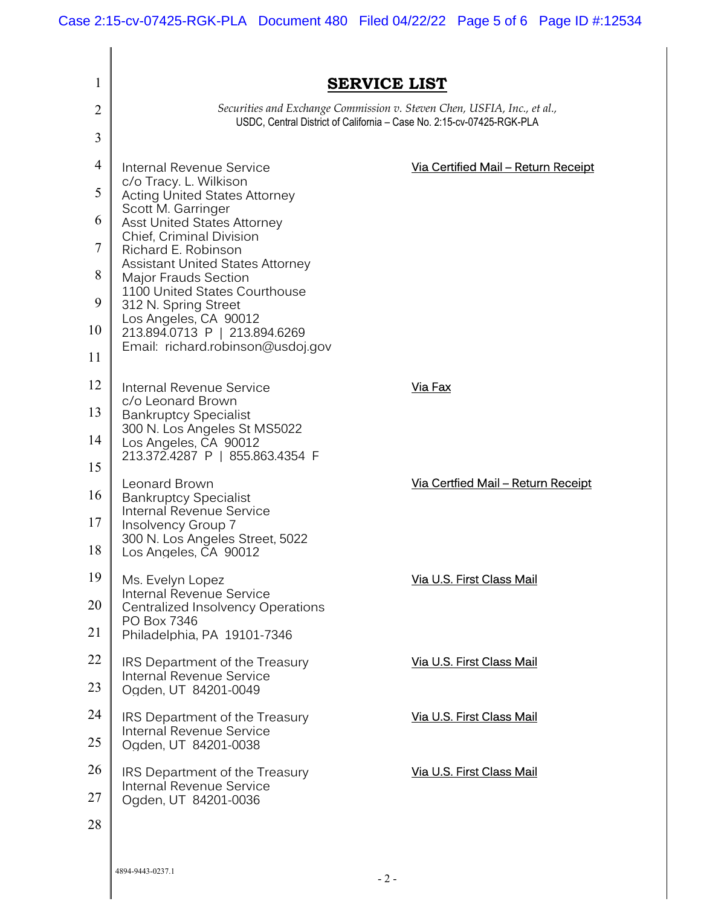| 1  | <b>SERVICE LIST</b>                                                                                                                                                                                                                                                                                                                                                        |                                           |  |  |
|----|----------------------------------------------------------------------------------------------------------------------------------------------------------------------------------------------------------------------------------------------------------------------------------------------------------------------------------------------------------------------------|-------------------------------------------|--|--|
| 2  | Securities and Exchange Commission v. Steven Chen, USFIA, Inc., et al.,<br>USDC, Central District of California - Case No. 2:15-cv-07425-RGK-PLA                                                                                                                                                                                                                           |                                           |  |  |
| 3  |                                                                                                                                                                                                                                                                                                                                                                            |                                           |  |  |
| 4  | Internal Revenue Service                                                                                                                                                                                                                                                                                                                                                   | Via Certified Mail - Return Receipt       |  |  |
| 5  | c/o Tracy. L. Wilkison<br><b>Acting United States Attorney</b><br>Scott M. Garringer<br><b>Asst United States Attorney</b><br><b>Chief, Criminal Division</b><br>Richard E. Robinson<br><b>Assistant United States Attorney</b><br>Major Frauds Section<br>1100 United States Courthouse<br>312 N. Spring Street<br>Los Angeles, CA 90012<br>213.894.0713 P   213.894.6269 |                                           |  |  |
| 6  |                                                                                                                                                                                                                                                                                                                                                                            |                                           |  |  |
| 7  |                                                                                                                                                                                                                                                                                                                                                                            |                                           |  |  |
| 8  |                                                                                                                                                                                                                                                                                                                                                                            |                                           |  |  |
| 9  |                                                                                                                                                                                                                                                                                                                                                                            |                                           |  |  |
| 10 |                                                                                                                                                                                                                                                                                                                                                                            |                                           |  |  |
| 11 | Email: richard.robinson@usdoj.gov                                                                                                                                                                                                                                                                                                                                          |                                           |  |  |
| 12 | Internal Revenue Service                                                                                                                                                                                                                                                                                                                                                   | Via Fax                                   |  |  |
| 13 | c/o Leonard Brown<br><b>Bankruptcy Specialist</b>                                                                                                                                                                                                                                                                                                                          |                                           |  |  |
| 14 | 300 N. Los Angeles St MS5022<br>Los Angeles, CA 90012                                                                                                                                                                                                                                                                                                                      |                                           |  |  |
| 15 | 213.372.4287 P   855.863.4354 F                                                                                                                                                                                                                                                                                                                                            |                                           |  |  |
| 16 | Leonard Brown<br><b>Bankruptcy Specialist</b>                                                                                                                                                                                                                                                                                                                              | <u>Via Certfied Mail – Return Receipt</u> |  |  |
| 17 | Internal Revenue Service<br>Insolvency Group 7                                                                                                                                                                                                                                                                                                                             |                                           |  |  |
| 18 | 300 N. Los Angeles Street, 5022<br>Los Angeles, CA 90012                                                                                                                                                                                                                                                                                                                   |                                           |  |  |
| 19 | Ms. Evelyn Lopez                                                                                                                                                                                                                                                                                                                                                           | Via U.S. First Class Mail                 |  |  |
| 20 | Internal Revenue Service<br><b>Centralized Insolvency Operations</b>                                                                                                                                                                                                                                                                                                       |                                           |  |  |
| 21 | PO Box 7346<br>Philadelphia, PA 19101-7346                                                                                                                                                                                                                                                                                                                                 |                                           |  |  |
| 22 | IRS Department of the Treasury                                                                                                                                                                                                                                                                                                                                             | Via U.S. First Class Mail                 |  |  |
| 23 | Internal Revenue Service<br>Ogden, UT 84201-0049                                                                                                                                                                                                                                                                                                                           |                                           |  |  |
| 24 | IRS Department of the Treasury                                                                                                                                                                                                                                                                                                                                             | Via U.S. First Class Mail                 |  |  |
| 25 | Internal Revenue Service<br>Ogden, UT 84201-0038                                                                                                                                                                                                                                                                                                                           |                                           |  |  |
| 26 | IRS Department of the Treasury                                                                                                                                                                                                                                                                                                                                             | Via U.S. First Class Mail                 |  |  |
| 27 | Internal Revenue Service<br>Ogden, UT 84201-0036                                                                                                                                                                                                                                                                                                                           |                                           |  |  |
| 28 |                                                                                                                                                                                                                                                                                                                                                                            |                                           |  |  |
|    |                                                                                                                                                                                                                                                                                                                                                                            |                                           |  |  |